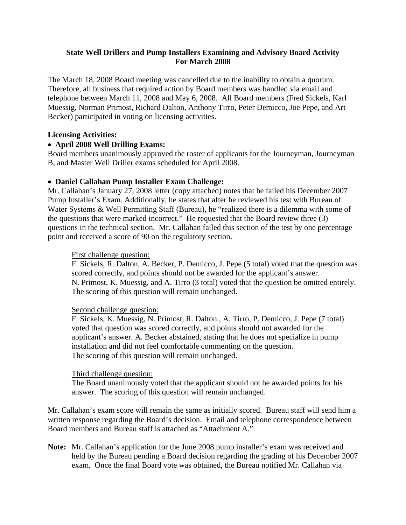# **State Well Drillers and Pump Installers Examining and Advisory Board Activity For March 2008**

The March 18, 2008 Board meeting was cancelled due to the inability to obtain a quorum. Therefore, all business that required action by Board members was handled via email and telephone between March 11, 2008 and May 6, 2008. All Board members (Fred Sickels, Karl Muessig, Norman Primost, Richard Dalton, Anthony Tirro, Peter Demicco, Joe Pepe, and Art Becker) participated in voting on licensing activities.

#### **Licensing Activities:**

# • **April 2008 Well Drilling Exams:**

Board members unanimously approved the roster of applicants for the Journeyman, Journeyman B, and Master Well Driller exams scheduled for April 2008.

## • **Daniel Callahan Pump Installer Exam Challenge:**

Mr. Callahan's January 27, 2008 letter (copy attached) notes that he failed his December 2007 Pump Installer's Exam. Additionally, he states that after he reviewed his test with Bureau of Water Systems & Well Permitting Staff (Bureau), he "realized there is a dilemma with some of the questions that were marked incorrect." He requested that the Board review three (3) questions in the technical section. Mr. Callahan failed this section of the test by one percentage point and received a score of 90 on the regulatory section.

## First challenge question:

F. Sickels, R. Dalton, A. Becker, P. Demicco, J. Pepe (5 total) voted that the question was scored correctly, and points should not be awarded for the applicant's answer. N. Primost, K. Muessig, and A. Tirro (3 total) voted that the question be omitted entirely. The scoring of this question will remain unchanged.

#### Second challenge question:

F. Sickels, K. Muessig, N. Primost, R. Dalton., A. Tirro, P. Demicco, J. Pepe (7 total) voted that question was scored correctly, and points should not awarded for the applicant's answer. A. Becker abstained, stating that he does not specialize in pump installation and did not feel comfortable commenting on the question. The scoring of this question will remain unchanged.

#### Third challenge question:

The Board unanimously voted that the applicant should not be awarded points for his answer. The scoring of this question will remain unchanged.

Mr. Callahan's exam score will remain the same as initially scored. Bureau staff will send him a written response regarding the Board's decision. Email and telephone correspondence between Board members and Bureau staff is attached as "Attachment A."

**Note:** Mr. Callahan's application for the June 2008 pump installer's exam was received and held by the Bureau pending a Board decision regarding the grading of his December 2007 exam. Once the final Board vote was obtained, the Bureau notified Mr. Callahan via